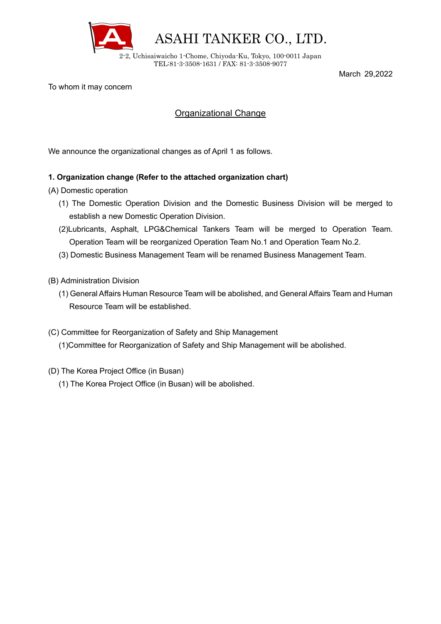

March 29,2022

To whom it may concern

## Organizational Change

We announce the organizational changes as of April 1 as follows.

## **1. Organization change (Refer to the attached organization chart)**

- (A) Domestic operation
	- (1) The Domestic Operation Division and the Domestic Business Division will be merged to establish a new Domestic Operation Division.
	- (2)Lubricants, Asphalt, LPG&Chemical Tankers Team will be merged to Operation Team. Operation Team will be reorganized Operation Team No.1 and Operation Team No.2.
	- (3) Domestic Business Management Team will be renamed Business Management Team.
- (B) Administration Division
	- (1) General Affairs Human Resource Team will be abolished, and General Affairs Team and Human Resource Team will be established.
- (C) Committee for Reorganization of Safety and Ship Management (1)Committee for Reorganization of Safety and Ship Management will be abolished.
- (D) The Korea Project Office (in Busan)
	- (1) The Korea Project Office (in Busan) will be abolished.